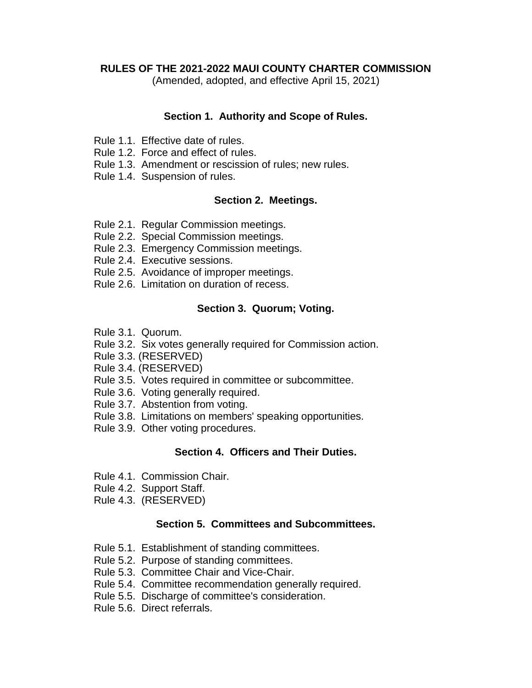#### **RULES OF THE 2021-2022 MAUI COUNTY CHARTER COMMISSION**

(Amended, adopted, and effective April 15, 2021)

#### **Section 1. Authority and Scope of Rules.**

- Rule 1.1. Effective date of rules.
- Rule 1.2. Force and effect of rules.
- Rule 1.3. Amendment or rescission of rules; new rules.
- Rule 1.4. Suspension of rules.

#### **Section 2. Meetings.**

- Rule 2.1. Regular Commission meetings.
- Rule 2.2. Special Commission meetings.
- Rule 2.3. Emergency Commission meetings.
- Rule 2.4. Executive sessions.
- Rule 2.5. Avoidance of improper meetings.
- Rule 2.6. Limitation on duration of recess.

## **Section 3. Quorum; Voting.**

- Rule 3.1. Quorum.
- Rule 3.2. Six votes generally required for Commission action.
- Rule 3.3. (RESERVED)
- Rule 3.4. (RESERVED)
- Rule 3.5. Votes required in committee or subcommittee.
- Rule 3.6. Voting generally required.
- Rule 3.7. Abstention from voting.
- Rule 3.8. Limitations on members' speaking opportunities.
- Rule 3.9. Other voting procedures.

## **Section 4. Officers and Their Duties.**

- Rule 4.1. Commission Chair.
- Rule 4.2. Support Staff.
- Rule 4.3. (RESERVED)

## **Section 5. Committees and Subcommittees.**

- Rule 5.1. Establishment of standing committees.
- Rule 5.2. Purpose of standing committees.
- Rule 5.3. Committee Chair and Vice-Chair.
- Rule 5.4. Committee recommendation generally required.
- Rule 5.5. Discharge of committee's consideration.
- Rule 5.6. Direct referrals.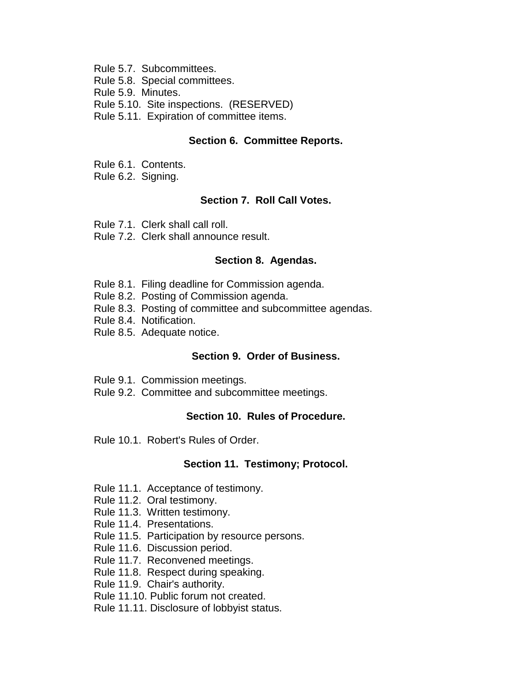- Rule 5.7. Subcommittees.
- Rule 5.8. Special committees.
- Rule 5.9. Minutes.
- Rule 5.10. Site inspections. (RESERVED)
- Rule 5.11. Expiration of committee items.

#### **Section 6. Committee Reports.**

- Rule 6.1. Contents.
- Rule 6.2. Signing.

## **Section 7. Roll Call Votes.**

- Rule 7.1. Clerk shall call roll.
- Rule 7.2. Clerk shall announce result.

## **Section 8. Agendas.**

- Rule 8.1. Filing deadline for Commission agenda.
- Rule 8.2. Posting of Commission agenda.
- Rule 8.3. Posting of committee and subcommittee agendas.
- Rule 8.4. Notification.
- Rule 8.5. Adequate notice.

## **Section 9. Order of Business.**

- Rule 9.1. Commission meetings.
- Rule 9.2. Committee and subcommittee meetings.

## **Section 10. Rules of Procedure.**

Rule 10.1. Robert's Rules of Order.

## **Section 11. Testimony; Protocol.**

- Rule 11.1. Acceptance of testimony.
- Rule 11.2. Oral testimony.
- Rule 11.3. Written testimony.
- Rule 11.4. Presentations.
- Rule 11.5. Participation by resource persons.
- Rule 11.6.Discussion period.
- Rule 11.7. Reconvened meetings.
- Rule 11.8. Respect during speaking.
- Rule 11.9. Chair's authority.
- Rule 11.10. Public forum not created.
- Rule 11.11. Disclosure of lobbyist status.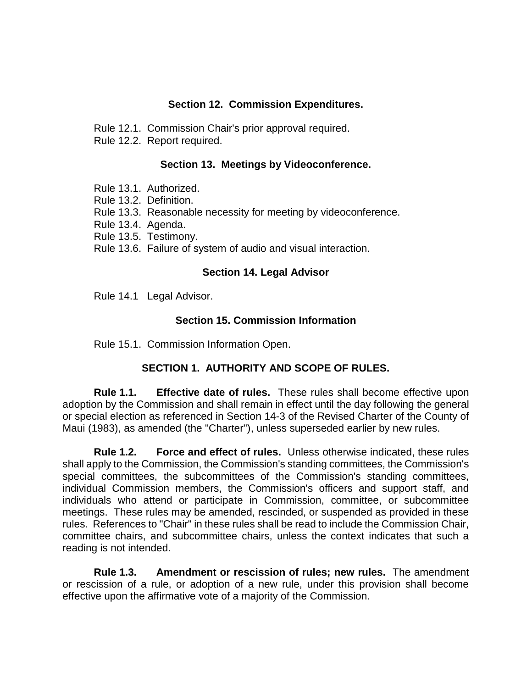## **Section 12. Commission Expenditures.**

Rule 12.1. Commission Chair's prior approval required.

Rule 12.2. Report required.

## **Section 13. Meetings by Videoconference.**

- Rule 13.1. Authorized.
- Rule 13.2. Definition.
- Rule 13.3. Reasonable necessity for meeting by videoconference.
- Rule 13.4. Agenda.
- Rule 13.5. Testimony.
- Rule 13.6. Failure of system of audio and visual interaction.

#### **Section 14. Legal Advisor**

Rule 14.1 Legal Advisor.

## **Section 15. Commission Information**

Rule 15.1. Commission Information Open.

## **SECTION 1. AUTHORITY AND SCOPE OF RULES.**

**Rule 1.1. Effective date of rules.** These rules shall become effective upon adoption by the Commission and shall remain in effect until the day following the general or special election as referenced in Section 14-3 of the Revised Charter of the County of Maui (1983), as amended (the "Charter"), unless superseded earlier by new rules.

**Rule 1.2. Force and effect of rules.** Unless otherwise indicated, these rules shall apply to the Commission, the Commission's standing committees, the Commission's special committees, the subcommittees of the Commission's standing committees, individual Commission members, the Commission's officers and support staff, and individuals who attend or participate in Commission, committee, or subcommittee meetings. These rules may be amended, rescinded, or suspended as provided in these rules. References to "Chair" in these rules shall be read to include the Commission Chair, committee chairs, and subcommittee chairs, unless the context indicates that such a reading is not intended.

**Rule 1.3. Amendment or rescission of rules; new rules.** The amendment or rescission of a rule, or adoption of a new rule, under this provision shall become effective upon the affirmative vote of a majority of the Commission.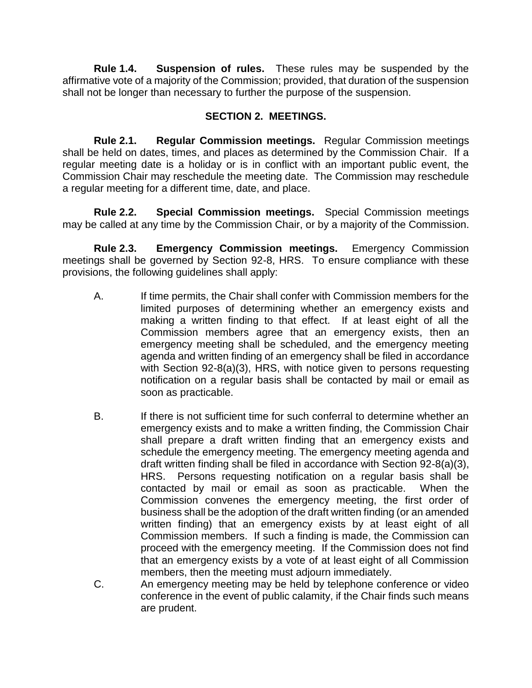**Rule 1.4. Suspension of rules.** These rules may be suspended by the affirmative vote of a majority of the Commission; provided, that duration of the suspension shall not be longer than necessary to further the purpose of the suspension.

# **SECTION 2. MEETINGS.**

**Rule 2.1. Regular Commission meetings.** Regular Commission meetings shall be held on dates, times, and places as determined by the Commission Chair. If a regular meeting date is a holiday or is in conflict with an important public event, the Commission Chair may reschedule the meeting date. The Commission may reschedule a regular meeting for a different time, date, and place.

**Rule 2.2. Special Commission meetings.** Special Commission meetings may be called at any time by the Commission Chair, or by a majority of the Commission.

**Rule 2.3. Emergency Commission meetings.** Emergency Commission meetings shall be governed by Section 92-8, HRS. To ensure compliance with these provisions, the following guidelines shall apply:

- A. If time permits, the Chair shall confer with Commission members for the limited purposes of determining whether an emergency exists and making a written finding to that effect. If at least eight of all the Commission members agree that an emergency exists, then an emergency meeting shall be scheduled, and the emergency meeting agenda and written finding of an emergency shall be filed in accordance with Section 92-8(a)(3), HRS, with notice given to persons requesting notification on a regular basis shall be contacted by mail or email as soon as practicable.
- B. If there is not sufficient time for such conferral to determine whether an emergency exists and to make a written finding, the Commission Chair shall prepare a draft written finding that an emergency exists and schedule the emergency meeting. The emergency meeting agenda and draft written finding shall be filed in accordance with Section 92-8(a)(3), HRS. Persons requesting notification on a regular basis shall be contacted by mail or email as soon as practicable. When the Commission convenes the emergency meeting, the first order of business shall be the adoption of the draft written finding (or an amended written finding) that an emergency exists by at least eight of all Commission members. If such a finding is made, the Commission can proceed with the emergency meeting. If the Commission does not find that an emergency exists by a vote of at least eight of all Commission members, then the meeting must adjourn immediately.
- C. An emergency meeting may be held by telephone conference or video conference in the event of public calamity, if the Chair finds such means are prudent.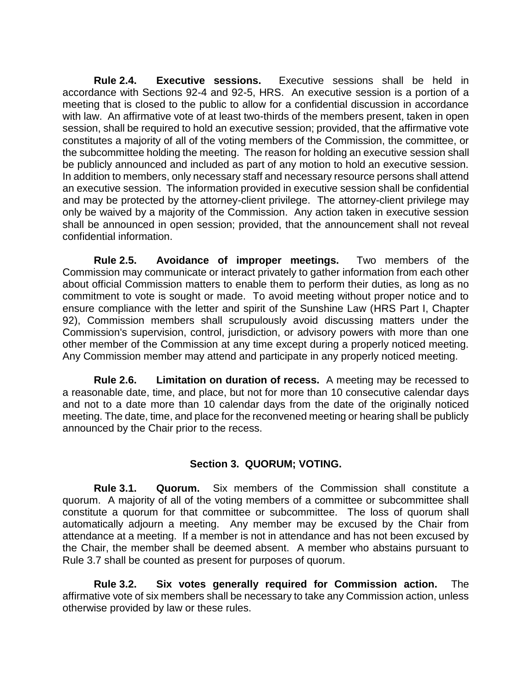**Rule 2.4. Executive sessions.** Executive sessions shall be held in accordance with Sections 92-4 and 92-5, HRS. An executive session is a portion of a meeting that is closed to the public to allow for a confidential discussion in accordance with law. An affirmative vote of at least two-thirds of the members present, taken in open session, shall be required to hold an executive session; provided, that the affirmative vote constitutes a majority of all of the voting members of the Commission, the committee, or the subcommittee holding the meeting. The reason for holding an executive session shall be publicly announced and included as part of any motion to hold an executive session. In addition to members, only necessary staff and necessary resource persons shall attend an executive session. The information provided in executive session shall be confidential and may be protected by the attorney-client privilege. The attorney-client privilege may only be waived by a majority of the Commission. Any action taken in executive session shall be announced in open session; provided, that the announcement shall not reveal confidential information.

**Rule 2.5. Avoidance of improper meetings.** Two members of the Commission may communicate or interact privately to gather information from each other about official Commission matters to enable them to perform their duties, as long as no commitment to vote is sought or made. To avoid meeting without proper notice and to ensure compliance with the letter and spirit of the Sunshine Law (HRS Part I, Chapter 92), Commission members shall scrupulously avoid discussing matters under the Commission's supervision, control, jurisdiction, or advisory powers with more than one other member of the Commission at any time except during a properly noticed meeting. Any Commission member may attend and participate in any properly noticed meeting.

**Rule 2.6. Limitation on duration of recess.** A meeting may be recessed to a reasonable date, time, and place, but not for more than 10 consecutive calendar days and not to a date more than 10 calendar days from the date of the originally noticed meeting. The date, time, and place for the reconvened meeting or hearing shall be publicly announced by the Chair prior to the recess.

## **Section 3. QUORUM; VOTING.**

**Rule 3.1. Quorum.** Six members of the Commission shall constitute a quorum. A majority of all of the voting members of a committee or subcommittee shall constitute a quorum for that committee or subcommittee. The loss of quorum shall automatically adjourn a meeting. Any member may be excused by the Chair from attendance at a meeting. If a member is not in attendance and has not been excused by the Chair, the member shall be deemed absent. A member who abstains pursuant to Rule 3.7 shall be counted as present for purposes of quorum.

**Rule 3.2. Six votes generally required for Commission action.** The affirmative vote of six members shall be necessary to take any Commission action, unless otherwise provided by law or these rules.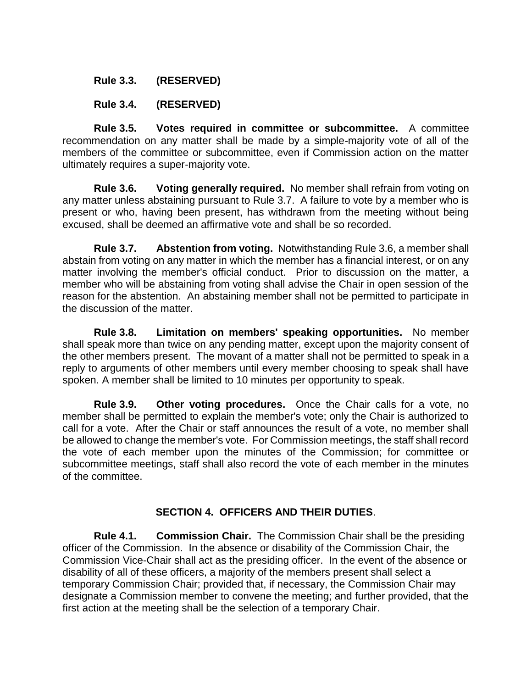## **Rule 3.3. (RESERVED)**

## **Rule 3.4. (RESERVED)**

**Rule 3.5. Votes required in committee or subcommittee.** A committee recommendation on any matter shall be made by a simple-majority vote of all of the members of the committee or subcommittee, even if Commission action on the matter ultimately requires a super-majority vote.

**Rule 3.6. Voting generally required.** No member shall refrain from voting on any matter unless abstaining pursuant to Rule 3.7. A failure to vote by a member who is present or who, having been present, has withdrawn from the meeting without being excused, shall be deemed an affirmative vote and shall be so recorded.

**Rule 3.7. Abstention from voting.** Notwithstanding Rule 3.6, a member shall abstain from voting on any matter in which the member has a financial interest, or on any matter involving the member's official conduct. Prior to discussion on the matter, a member who will be abstaining from voting shall advise the Chair in open session of the reason for the abstention. An abstaining member shall not be permitted to participate in the discussion of the matter.

**Rule 3.8. Limitation on members' speaking opportunities.** No member shall speak more than twice on any pending matter, except upon the majority consent of the other members present. The movant of a matter shall not be permitted to speak in a reply to arguments of other members until every member choosing to speak shall have spoken. A member shall be limited to 10 minutes per opportunity to speak.

**Rule 3.9. Other voting procedures.** Once the Chair calls for a vote, no member shall be permitted to explain the member's vote; only the Chair is authorized to call for a vote. After the Chair or staff announces the result of a vote, no member shall be allowed to change the member's vote. For Commission meetings, the staff shall record the vote of each member upon the minutes of the Commission; for committee or subcommittee meetings, staff shall also record the vote of each member in the minutes of the committee.

## **SECTION 4. OFFICERS AND THEIR DUTIES**.

**Rule 4.1. Commission Chair.** The Commission Chair shall be the presiding officer of the Commission. In the absence or disability of the Commission Chair, the Commission Vice-Chair shall act as the presiding officer. In the event of the absence or disability of all of these officers, a majority of the members present shall select a temporary Commission Chair; provided that, if necessary, the Commission Chair may designate a Commission member to convene the meeting; and further provided, that the first action at the meeting shall be the selection of a temporary Chair.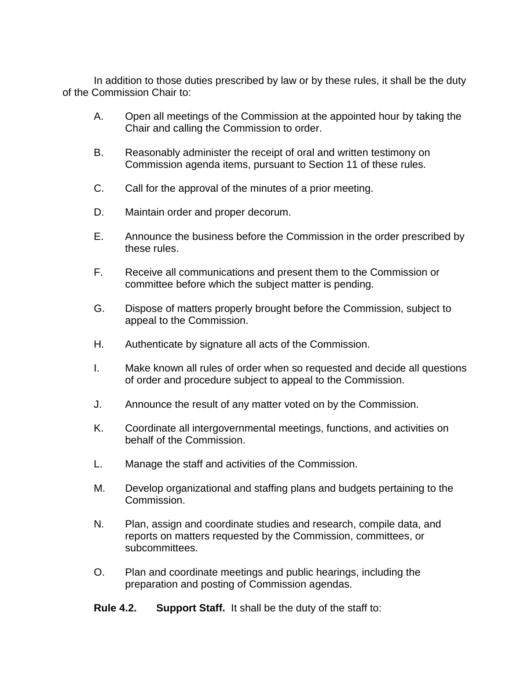In addition to those duties prescribed by law or by these rules, it shall be the duty of the Commission Chair to:

- A. Open all meetings of the Commission at the appointed hour by taking the Chair and calling the Commission to order.
- B. Reasonably administer the receipt of oral and written testimony on Commission agenda items, pursuant to Section 11 of these rules.
- C. Call for the approval of the minutes of a prior meeting.
- D. Maintain order and proper decorum.
- E. Announce the business before the Commission in the order prescribed by these rules.
- F. Receive all communications and present them to the Commission or committee before which the subject matter is pending.
- G. Dispose of matters properly brought before the Commission, subject to appeal to the Commission.
- H. Authenticate by signature all acts of the Commission.
- I. Make known all rules of order when so requested and decide all questions of order and procedure subject to appeal to the Commission.
- J. Announce the result of any matter voted on by the Commission.
- K. Coordinate all intergovernmental meetings, functions, and activities on behalf of the Commission.
- L. Manage the staff and activities of the Commission.
- M. Develop organizational and staffing plans and budgets pertaining to the Commission.
- N. Plan, assign and coordinate studies and research, compile data, and reports on matters requested by the Commission, committees, or subcommittees.
- O. Plan and coordinate meetings and public hearings, including the preparation and posting of Commission agendas.
- **Rule 4.2. Support Staff.** It shall be the duty of the staff to: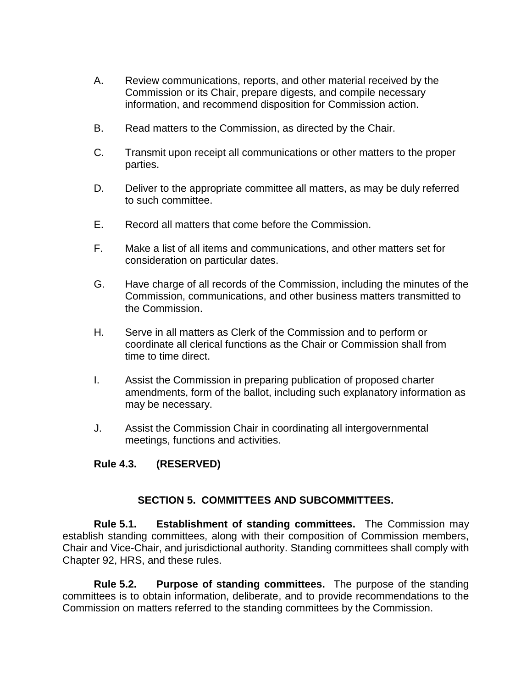- A. Review communications, reports, and other material received by the Commission or its Chair, prepare digests, and compile necessary information, and recommend disposition for Commission action.
- B. Read matters to the Commission, as directed by the Chair.
- C. Transmit upon receipt all communications or other matters to the proper parties.
- D. Deliver to the appropriate committee all matters, as may be duly referred to such committee.
- E. Record all matters that come before the Commission.
- F. Make a list of all items and communications, and other matters set for consideration on particular dates.
- G. Have charge of all records of the Commission, including the minutes of the Commission, communications, and other business matters transmitted to the Commission.
- H. Serve in all matters as Clerk of the Commission and to perform or coordinate all clerical functions as the Chair or Commission shall from time to time direct.
- I. Assist the Commission in preparing publication of proposed charter amendments, form of the ballot, including such explanatory information as may be necessary.
- J. Assist the Commission Chair in coordinating all intergovernmental meetings, functions and activities.

## **Rule 4.3. (RESERVED)**

## **SECTION 5. COMMITTEES AND SUBCOMMITTEES.**

**Rule 5.1. Establishment of standing committees.** The Commission may establish standing committees, along with their composition of Commission members, Chair and Vice-Chair, and jurisdictional authority. Standing committees shall comply with Chapter 92, HRS, and these rules.

**Rule 5.2. Purpose of standing committees.** The purpose of the standing committees is to obtain information, deliberate, and to provide recommendations to the Commission on matters referred to the standing committees by the Commission.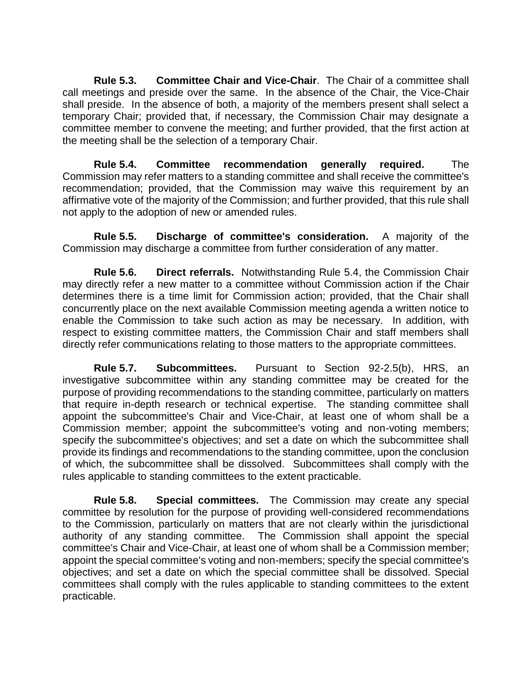**Rule 5.3. Committee Chair and Vice-Chair**. The Chair of a committee shall call meetings and preside over the same. In the absence of the Chair, the Vice-Chair shall preside. In the absence of both, a majority of the members present shall select a temporary Chair; provided that, if necessary, the Commission Chair may designate a committee member to convene the meeting; and further provided, that the first action at the meeting shall be the selection of a temporary Chair.

**Rule 5.4. Committee recommendation generally required.** The Commission may refer matters to a standing committee and shall receive the committee's recommendation; provided, that the Commission may waive this requirement by an affirmative vote of the majority of the Commission; and further provided, that this rule shall not apply to the adoption of new or amended rules.

**Rule 5.5. Discharge of committee's consideration.** A majority of the Commission may discharge a committee from further consideration of any matter.

**Rule 5.6. Direct referrals.** Notwithstanding Rule 5.4, the Commission Chair may directly refer a new matter to a committee without Commission action if the Chair determines there is a time limit for Commission action; provided, that the Chair shall concurrently place on the next available Commission meeting agenda a written notice to enable the Commission to take such action as may be necessary. In addition, with respect to existing committee matters, the Commission Chair and staff members shall directly refer communications relating to those matters to the appropriate committees.

**Rule 5.7. Subcommittees.** Pursuant to Section 92-2.5(b), HRS, an investigative subcommittee within any standing committee may be created for the purpose of providing recommendations to the standing committee, particularly on matters that require in-depth research or technical expertise. The standing committee shall appoint the subcommittee's Chair and Vice-Chair, at least one of whom shall be a Commission member; appoint the subcommittee's voting and non-voting members; specify the subcommittee's objectives; and set a date on which the subcommittee shall provide its findings and recommendations to the standing committee, upon the conclusion of which, the subcommittee shall be dissolved. Subcommittees shall comply with the rules applicable to standing committees to the extent practicable.

**Rule 5.8. Special committees.** The Commission may create any special committee by resolution for the purpose of providing well-considered recommendations to the Commission, particularly on matters that are not clearly within the jurisdictional authority of any standing committee. The Commission shall appoint the special committee's Chair and Vice-Chair, at least one of whom shall be a Commission member; appoint the special committee's voting and non-members; specify the special committee's objectives; and set a date on which the special committee shall be dissolved. Special committees shall comply with the rules applicable to standing committees to the extent practicable.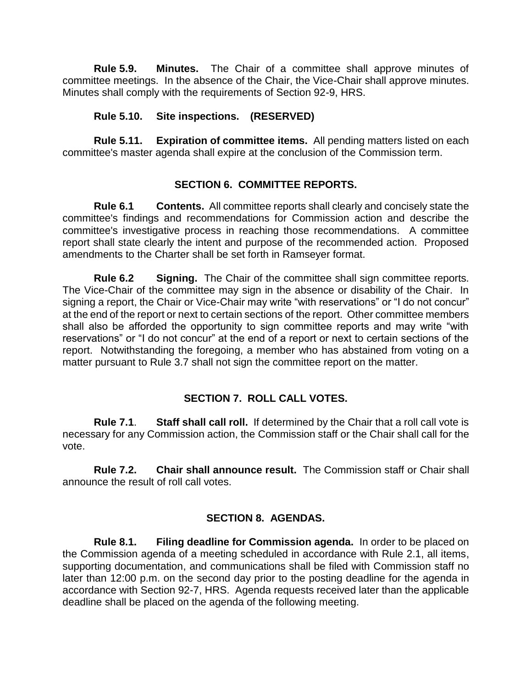**Rule 5.9. Minutes.** The Chair of a committee shall approve minutes of committee meetings. In the absence of the Chair, the Vice-Chair shall approve minutes. Minutes shall comply with the requirements of Section 92-9, HRS.

## **Rule 5.10. Site inspections. (RESERVED)**

**Rule 5.11. Expiration of committee items.** All pending matters listed on each committee's master agenda shall expire at the conclusion of the Commission term.

## **SECTION 6. COMMITTEE REPORTS.**

**Rule 6.1 Contents.** All committee reports shall clearly and concisely state the committee's findings and recommendations for Commission action and describe the committee's investigative process in reaching those recommendations. A committee report shall state clearly the intent and purpose of the recommended action. Proposed amendments to the Charter shall be set forth in Ramseyer format.

**Rule 6.2 Signing.** The Chair of the committee shall sign committee reports. The Vice-Chair of the committee may sign in the absence or disability of the Chair. In signing a report, the Chair or Vice-Chair may write "with reservations" or "I do not concur" at the end of the report or next to certain sections of the report. Other committee members shall also be afforded the opportunity to sign committee reports and may write "with reservations" or "I do not concur" at the end of a report or next to certain sections of the report. Notwithstanding the foregoing, a member who has abstained from voting on a matter pursuant to Rule 3.7 shall not sign the committee report on the matter.

## **SECTION 7. ROLL CALL VOTES.**

**Rule 7.1**. **Staff shall call roll.** If determined by the Chair that a roll call vote is necessary for any Commission action, the Commission staff or the Chair shall call for the vote.

**Rule 7.2. Chair shall announce result.** The Commission staff or Chair shall announce the result of roll call votes.

## **SECTION 8. AGENDAS.**

**Rule 8.1. Filing deadline for Commission agenda.** In order to be placed on the Commission agenda of a meeting scheduled in accordance with Rule 2.1, all items, supporting documentation, and communications shall be filed with Commission staff no later than 12:00 p.m. on the second day prior to the posting deadline for the agenda in accordance with Section 92-7, HRS. Agenda requests received later than the applicable deadline shall be placed on the agenda of the following meeting.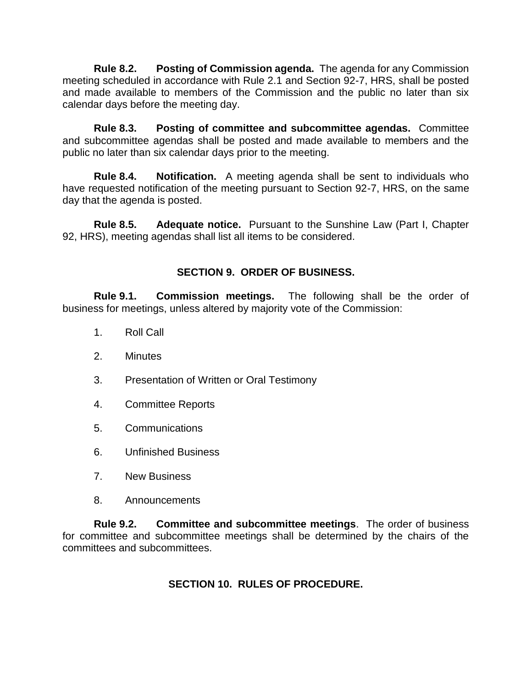**Rule 8.2. Posting of Commission agenda.** The agenda for any Commission meeting scheduled in accordance with Rule 2.1 and Section 92-7, HRS, shall be posted and made available to members of the Commission and the public no later than six calendar days before the meeting day.

**Rule 8.3. Posting of committee and subcommittee agendas.** Committee and subcommittee agendas shall be posted and made available to members and the public no later than six calendar days prior to the meeting.

**Rule 8.4. Notification.** A meeting agenda shall be sent to individuals who have requested notification of the meeting pursuant to Section 92-7, HRS, on the same day that the agenda is posted.

**Rule 8.5. Adequate notice.** Pursuant to the Sunshine Law (Part I, Chapter 92, HRS), meeting agendas shall list all items to be considered.

## **SECTION 9. ORDER OF BUSINESS.**

**Rule 9.1. Commission meetings.** The following shall be the order of business for meetings, unless altered by majority vote of the Commission:

- 1. Roll Call
- 2. Minutes
- 3. Presentation of Written or Oral Testimony
- 4. Committee Reports
- 5. Communications
- 6. Unfinished Business
- 7. New Business
- 8. Announcements

**Rule 9.2. Committee and subcommittee meetings**. The order of business for committee and subcommittee meetings shall be determined by the chairs of the committees and subcommittees.

## **SECTION 10. RULES OF PROCEDURE.**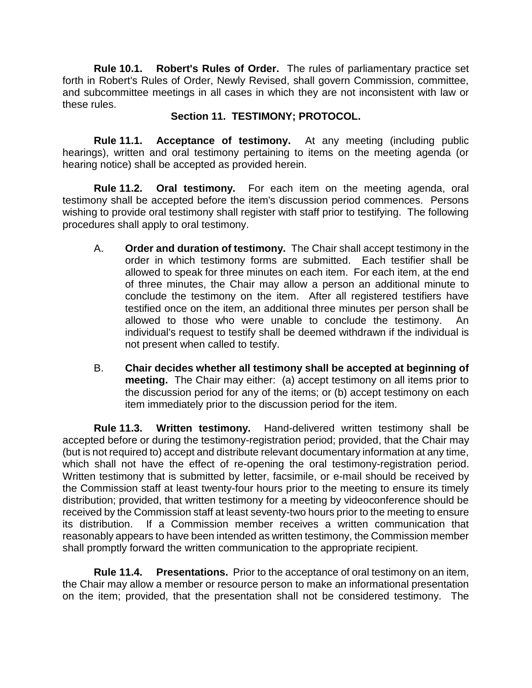**Rule 10.1. Robert's Rules of Order.** The rules of parliamentary practice set forth in Robert's Rules of Order, Newly Revised, shall govern Commission, committee, and subcommittee meetings in all cases in which they are not inconsistent with law or these rules.

## **Section 11. TESTIMONY; PROTOCOL.**

**Rule 11.1. Acceptance of testimony.** At any meeting (including public hearings), written and oral testimony pertaining to items on the meeting agenda (or hearing notice) shall be accepted as provided herein.

**Rule 11.2. Oral testimony.** For each item on the meeting agenda, oral testimony shall be accepted before the item's discussion period commences. Persons wishing to provide oral testimony shall register with staff prior to testifying. The following procedures shall apply to oral testimony.

- A. **Order and duration of testimony.** The Chair shall accept testimony in the order in which testimony forms are submitted. Each testifier shall be allowed to speak for three minutes on each item. For each item, at the end of three minutes, the Chair may allow a person an additional minute to conclude the testimony on the item. After all registered testifiers have testified once on the item, an additional three minutes per person shall be allowed to those who were unable to conclude the testimony. An individual's request to testify shall be deemed withdrawn if the individual is not present when called to testify.
- B. **Chair decides whether all testimony shall be accepted at beginning of meeting.** The Chair may either: (a) accept testimony on all items prior to the discussion period for any of the items; or (b) accept testimony on each item immediately prior to the discussion period for the item.

**Rule 11.3. Written testimony.** Hand-delivered written testimony shall be accepted before or during the testimony-registration period; provided, that the Chair may (but is not required to) accept and distribute relevant documentary information at any time, which shall not have the effect of re-opening the oral testimony-registration period. Written testimony that is submitted by letter, facsimile, or e-mail should be received by the Commission staff at least twenty-four hours prior to the meeting to ensure its timely distribution; provided, that written testimony for a meeting by videoconference should be received by the Commission staff at least seventy-two hours prior to the meeting to ensure its distribution. If a Commission member receives a written communication that reasonably appears to have been intended as written testimony, the Commission member shall promptly forward the written communication to the appropriate recipient.

**Rule 11.4. Presentations.** Prior to the acceptance of oral testimony on an item, the Chair may allow a member or resource person to make an informational presentation on the item; provided, that the presentation shall not be considered testimony. The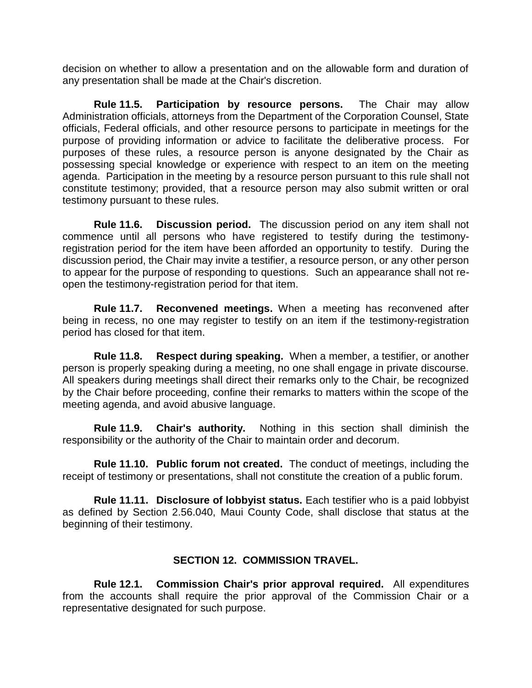decision on whether to allow a presentation and on the allowable form and duration of any presentation shall be made at the Chair's discretion.

**Rule 11.5. Participation by resource persons.** The Chair may allow Administration officials, attorneys from the Department of the Corporation Counsel, State officials, Federal officials, and other resource persons to participate in meetings for the purpose of providing information or advice to facilitate the deliberative process. For purposes of these rules, a resource person is anyone designated by the Chair as possessing special knowledge or experience with respect to an item on the meeting agenda. Participation in the meeting by a resource person pursuant to this rule shall not constitute testimony; provided, that a resource person may also submit written or oral testimony pursuant to these rules.

**Rule 11.6. Discussion period.** The discussion period on any item shall not commence until all persons who have registered to testify during the testimonyregistration period for the item have been afforded an opportunity to testify.During the discussion period, the Chair may invite a testifier, a resource person, or any other person to appear for the purpose of responding to questions. Such an appearance shall not reopen the testimony-registration period for that item.

**Rule 11.7. Reconvened meetings.** When a meeting has reconvened after being in recess, no one may register to testify on an item if the testimony-registration period has closed for that item.

**Rule 11.8. Respect during speaking.** When a member, a testifier, or another person is properly speaking during a meeting, no one shall engage in private discourse. All speakers during meetings shall direct their remarks only to the Chair, be recognized by the Chair before proceeding, confine their remarks to matters within the scope of the meeting agenda, and avoid abusive language.

**Rule 11.9. Chair's authority.** Nothing in this section shall diminish the responsibility or the authority of the Chair to maintain order and decorum.

**Rule 11.10. Public forum not created.** The conduct of meetings, including the receipt of testimony or presentations, shall not constitute the creation of a public forum.

**Rule 11.11. Disclosure of lobbyist status.** Each testifier who is a paid lobbyist as defined by Section 2.56.040, Maui County Code, shall disclose that status at the beginning of their testimony.

## **SECTION 12. COMMISSION TRAVEL.**

**Rule 12.1. Commission Chair's prior approval required.** All expenditures from the accounts shall require the prior approval of the Commission Chair or a representative designated for such purpose.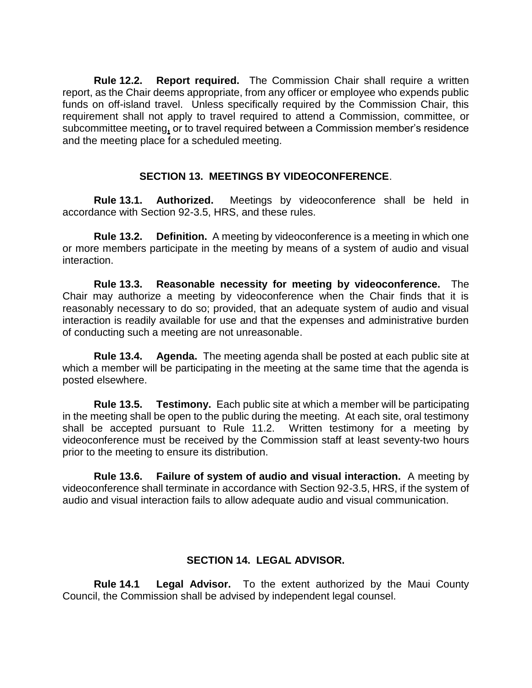**Rule 12.2. Report required.** The Commission Chair shall require a written report, as the Chair deems appropriate, from any officer or employee who expends public funds on off-island travel. Unless specifically required by the Commission Chair, this requirement shall not apply to travel required to attend a Commission, committee, or subcommittee meeting**,** or to travel required between a Commission member's residence and the meeting place for a scheduled meeting.

## **SECTION 13. MEETINGS BY VIDEOCONFERENCE**.

**Rule 13.1. Authorized.** Meetings by videoconference shall be held in accordance with Section 92-3.5, HRS, and these rules.

**Rule 13.2. Definition.** A meeting by videoconference is a meeting in which one or more members participate in the meeting by means of a system of audio and visual interaction.

**Rule 13.3. Reasonable necessity for meeting by videoconference.** The Chair may authorize a meeting by videoconference when the Chair finds that it is reasonably necessary to do so; provided, that an adequate system of audio and visual interaction is readily available for use and that the expenses and administrative burden of conducting such a meeting are not unreasonable.

**Rule 13.4. Agenda.** The meeting agenda shall be posted at each public site at which a member will be participating in the meeting at the same time that the agenda is posted elsewhere.

**Rule 13.5. Testimony.** Each public site at which a member will be participating in the meeting shall be open to the public during the meeting. At each site, oral testimony shall be accepted pursuant to Rule 11.2. Written testimony for a meeting by videoconference must be received by the Commission staff at least seventy-two hours prior to the meeting to ensure its distribution.

**Rule 13.6. Failure of system of audio and visual interaction.** A meeting by videoconference shall terminate in accordance with Section 92-3.5, HRS, if the system of audio and visual interaction fails to allow adequate audio and visual communication.

#### **SECTION 14. LEGAL ADVISOR.**

**Rule 14.1 Legal Advisor.** To the extent authorized by the Maui County Council, the Commission shall be advised by independent legal counsel.